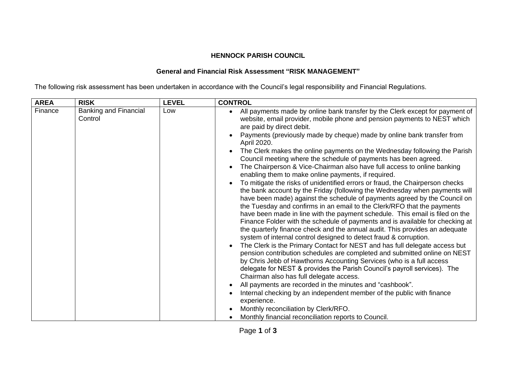## **HENNOCK PARISH COUNCIL**

## **General and Financial Risk Assessment "RISK MANAGEMENT"**

The following risk assessment has been undertaken in accordance with the Council's legal responsibility and Financial Regulations.

| <b>AREA</b> | <b>RISK</b>                             | <b>LEVEL</b> | <b>CONTROL</b>                                                                                                                                                                                                                                                                                                                                                                                                                                                                                                                                                                                                                                                                                                                                                                                                                                                                                                                                                                                                                                                                                                                                                                                                                                                                                                                                                                                                                                                                                                                                                                                   |
|-------------|-----------------------------------------|--------------|--------------------------------------------------------------------------------------------------------------------------------------------------------------------------------------------------------------------------------------------------------------------------------------------------------------------------------------------------------------------------------------------------------------------------------------------------------------------------------------------------------------------------------------------------------------------------------------------------------------------------------------------------------------------------------------------------------------------------------------------------------------------------------------------------------------------------------------------------------------------------------------------------------------------------------------------------------------------------------------------------------------------------------------------------------------------------------------------------------------------------------------------------------------------------------------------------------------------------------------------------------------------------------------------------------------------------------------------------------------------------------------------------------------------------------------------------------------------------------------------------------------------------------------------------------------------------------------------------|
| Finance     | <b>Banking and Financial</b><br>Control | Low          | All payments made by online bank transfer by the Clerk except for payment of<br>$\bullet$<br>website, email provider, mobile phone and pension payments to NEST which<br>are paid by direct debit.<br>Payments (previously made by cheque) made by online bank transfer from<br>April 2020.<br>The Clerk makes the online payments on the Wednesday following the Parish<br>Council meeting where the schedule of payments has been agreed.<br>The Chairperson & Vice-Chairman also have full access to online banking<br>enabling them to make online payments, if required.<br>To mitigate the risks of unidentified errors or fraud, the Chairperson checks<br>the bank account by the Friday (following the Wednesday when payments will<br>have been made) against the schedule of payments agreed by the Council on<br>the Tuesday and confirms in an email to the Clerk/RFO that the payments<br>have been made in line with the payment schedule. This email is filed on the<br>Finance Folder with the schedule of payments and is available for checking at<br>the quarterly finance check and the annual audit. This provides an adequate<br>system of internal control designed to detect fraud & corruption.<br>The Clerk is the Primary Contact for NEST and has full delegate access but<br>pension contribution schedules are completed and submitted online on NEST<br>by Chris Jebb of Hawthorns Accounting Services (who is a full access<br>delegate for NEST & provides the Parish Council's payroll services). The<br>Chairman also has full delegate access.<br>$\bullet$ |
|             |                                         |              |                                                                                                                                                                                                                                                                                                                                                                                                                                                                                                                                                                                                                                                                                                                                                                                                                                                                                                                                                                                                                                                                                                                                                                                                                                                                                                                                                                                                                                                                                                                                                                                                  |
|             |                                         |              | All payments are recorded in the minutes and "cashbook".                                                                                                                                                                                                                                                                                                                                                                                                                                                                                                                                                                                                                                                                                                                                                                                                                                                                                                                                                                                                                                                                                                                                                                                                                                                                                                                                                                                                                                                                                                                                         |
|             |                                         |              | Internal checking by an independent member of the public with finance<br>experience.                                                                                                                                                                                                                                                                                                                                                                                                                                                                                                                                                                                                                                                                                                                                                                                                                                                                                                                                                                                                                                                                                                                                                                                                                                                                                                                                                                                                                                                                                                             |
|             |                                         |              | Monthly reconciliation by Clerk/RFO.                                                                                                                                                                                                                                                                                                                                                                                                                                                                                                                                                                                                                                                                                                                                                                                                                                                                                                                                                                                                                                                                                                                                                                                                                                                                                                                                                                                                                                                                                                                                                             |
|             |                                         |              | Monthly financial reconciliation reports to Council.                                                                                                                                                                                                                                                                                                                                                                                                                                                                                                                                                                                                                                                                                                                                                                                                                                                                                                                                                                                                                                                                                                                                                                                                                                                                                                                                                                                                                                                                                                                                             |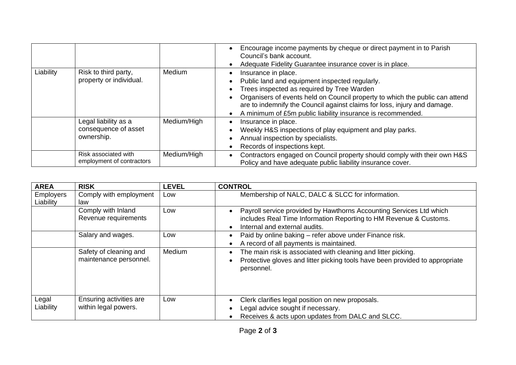|           |                                                            |               | Encourage income payments by cheque or direct payment in to Parish<br>$\bullet$<br>Council's bank account.<br>Adequate Fidelity Guarantee insurance cover is in place.                                                                                                                                                                         |
|-----------|------------------------------------------------------------|---------------|------------------------------------------------------------------------------------------------------------------------------------------------------------------------------------------------------------------------------------------------------------------------------------------------------------------------------------------------|
| Liability | Risk to third party,<br>property or individual.            | <b>Medium</b> | Insurance in place.<br>Public land and equipment inspected regularly.<br>Trees inspected as required by Tree Warden<br>Organisers of events held on Council property to which the public can attend<br>are to indemnify the Council against claims for loss, injury and damage.<br>A minimum of £5m public liability insurance is recommended. |
|           | Legal liability as a<br>consequence of asset<br>ownership. | Medium/High   | Insurance in place.<br>$\bullet$<br>Weekly H&S inspections of play equipment and play parks.<br>Annual inspection by specialists.<br>Records of inspections kept.                                                                                                                                                                              |
|           | Risk associated with<br>employment of contractors          | Medium/High   | Contractors engaged on Council property should comply with their own H&S<br>$\bullet$<br>Policy and have adequate public liability insurance cover.                                                                                                                                                                                            |

| <b>AREA</b>                   | <b>RISK</b>                                      | <b>LEVEL</b> | <b>CONTROL</b>                                                                                                                                                                                      |
|-------------------------------|--------------------------------------------------|--------------|-----------------------------------------------------------------------------------------------------------------------------------------------------------------------------------------------------|
| <b>Employers</b><br>Liability | Comply with employment<br>law                    | Low          | Membership of NALC, DALC & SLCC for information.                                                                                                                                                    |
|                               | Comply with Inland<br>Revenue requirements       | Low          | Payroll service provided by Hawthorns Accounting Services Ltd which<br>$\bullet$<br>includes Real Time Information Reporting to HM Revenue & Customs.<br>Internal and external audits.<br>$\bullet$ |
|                               | Salary and wages.                                | Low          | Paid by online baking – refer above under Finance risk.<br>$\bullet$<br>A record of all payments is maintained.<br>$\bullet$                                                                        |
|                               | Safety of cleaning and<br>maintenance personnel. | Medium       | The main risk is associated with cleaning and litter picking.<br>$\bullet$<br>Protective gloves and litter picking tools have been provided to appropriate<br>personnel.                            |
| Legal<br>Liability            | Ensuring activities are<br>within legal powers.  | Low          | Clerk clarifies legal position on new proposals.<br>Legal advice sought if necessary.                                                                                                               |
|                               |                                                  |              | Receives & acts upon updates from DALC and SLCC.                                                                                                                                                    |